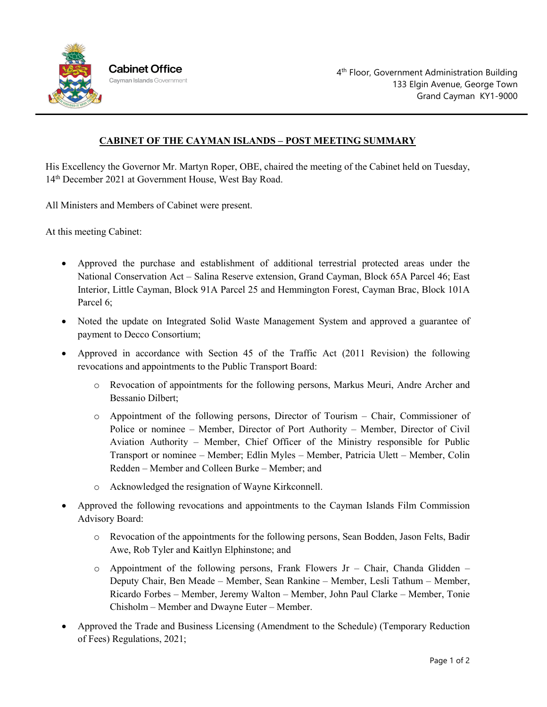

## **CABINET OF THE CAYMAN ISLANDS – POST MEETING SUMMARY**

His Excellency the Governor Mr. Martyn Roper, OBE, chaired the meeting of the Cabinet held on Tuesday, 14th December 2021 at Government House, West Bay Road.

All Ministers and Members of Cabinet were present.

At this meeting Cabinet:

- Approved the purchase and establishment of additional terrestrial protected areas under the National Conservation Act – Salina Reserve extension, Grand Cayman, Block 65A Parcel 46; East Interior, Little Cayman, Block 91A Parcel 25 and Hemmington Forest, Cayman Brac, Block 101A Parcel 6;
- Noted the update on Integrated Solid Waste Management System and approved a guarantee of payment to Decco Consortium;
- Approved in accordance with Section 45 of the Traffic Act (2011 Revision) the following revocations and appointments to the Public Transport Board:
	- o Revocation of appointments for the following persons, Markus Meuri, Andre Archer and Bessanio Dilbert;
	- o Appointment of the following persons, Director of Tourism Chair, Commissioner of Police or nominee – Member, Director of Port Authority – Member, Director of Civil Aviation Authority – Member, Chief Officer of the Ministry responsible for Public Transport or nominee – Member; Edlin Myles – Member, Patricia Ulett – Member, Colin Redden – Member and Colleen Burke – Member; and
	- o Acknowledged the resignation of Wayne Kirkconnell.
- Approved the following revocations and appointments to the Cayman Islands Film Commission Advisory Board:
	- o Revocation of the appointments for the following persons, Sean Bodden, Jason Felts, Badir Awe, Rob Tyler and Kaitlyn Elphinstone; and
	- $\circ$  Appointment of the following persons, Frank Flowers Jr Chair, Chanda Glidden Deputy Chair, Ben Meade – Member, Sean Rankine – Member, Lesli Tathum – Member, Ricardo Forbes – Member, Jeremy Walton – Member, John Paul Clarke – Member, Tonie Chisholm – Member and Dwayne Euter – Member.
- Approved the Trade and Business Licensing (Amendment to the Schedule) (Temporary Reduction of Fees) Regulations, 2021;